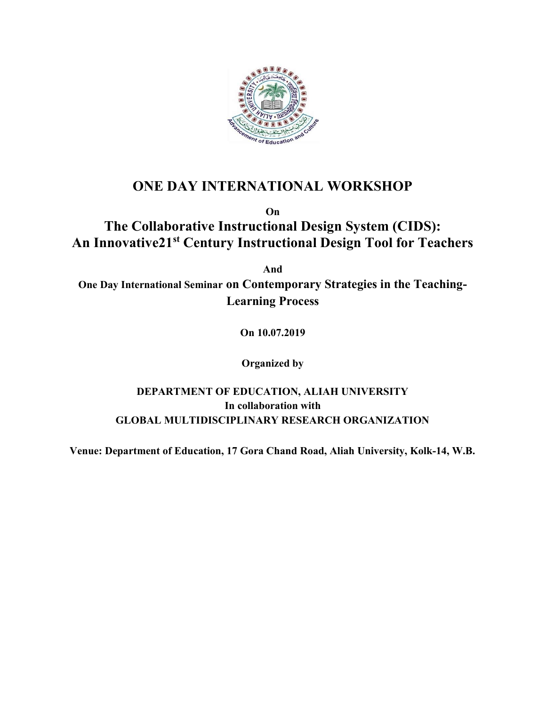

## ONE DAY INTERNATIONAL WORKSHOP

On

# The Collaborative Instructional Design System (CIDS): An Innovative21<sup>st</sup> Century Instructional Design Tool for Teachers

And

One Day International Seminar on Contemporary Strategies in the Teaching-Learning Process

On 10.07.2019

Organized by

### DEPARTMENT OF EDUCATION, ALIAH UNIVERSITY In collaboration with GLOBAL MULTIDISCIPLINARY RESEARCH ORGANIZATION

Venue: Department of Education, 17 Gora Chand Road, Aliah University, Kolk-14, W.B.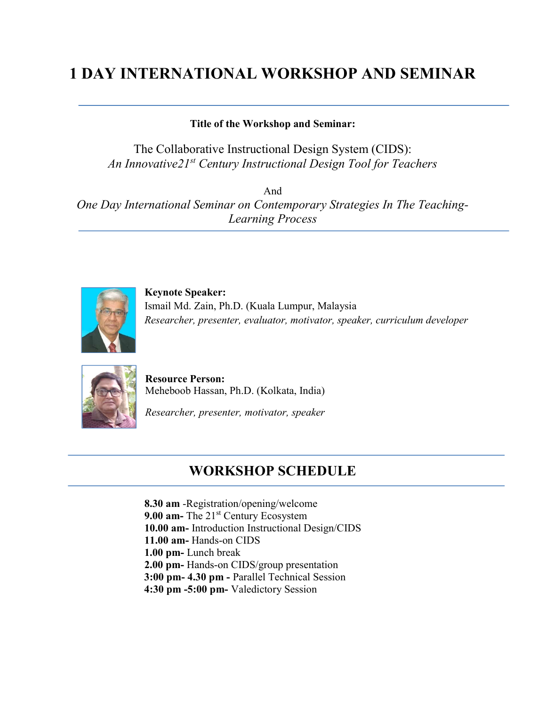# 1 DAY INTERNATIONAL WORKSHOP AND SEMINAR

#### Title of the Workshop and Seminar:

The Collaborative Instructional Design System (CIDS): An Innovative21<sup>st</sup> Century Instructional Design Tool for Teachers

And One Day International Seminar on Contemporary Strategies In The Teaching-Learning Process



Keynote Speaker: Ismail Md. Zain, Ph.D. (Kuala Lumpur, Malaysia Researcher, presenter, evaluator, motivator, speaker, curriculum developer



Resource Person: Meheboob Hassan, Ph.D. (Kolkata, India)

Researcher, presenter, motivator, speaker

## WORKSHOP SCHEDULE

8.30 am -Registration/opening/welcome 9.00 am- The  $21<sup>st</sup>$  Century Ecosystem 10.00 am- Introduction Instructional Design/CIDS 11.00 am- Hands-on CIDS 1.00 pm- Lunch break 2.00 pm- Hands-on CIDS/group presentation 3:00 pm- 4.30 pm - Parallel Technical Session 4:30 pm -5:00 pm- Valedictory Session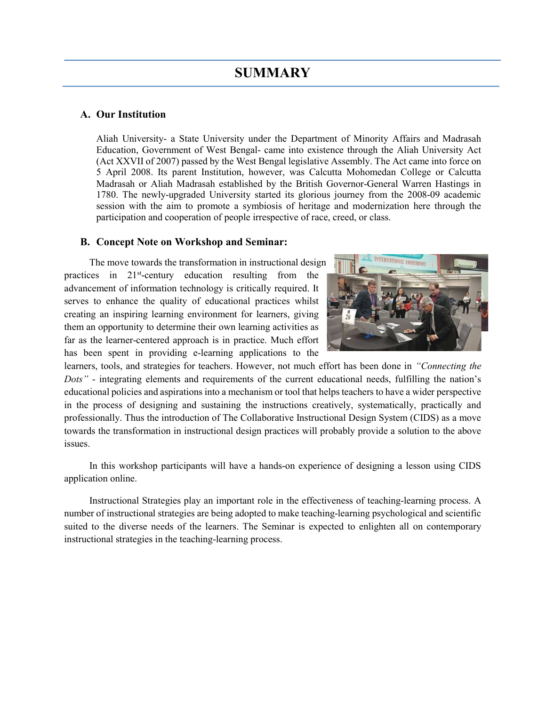#### A. Our Institution

Aliah University- a State University under the Department of Minority Affairs and Madrasah Education, Government of West Bengal- came into existence through the Aliah University Act (Act XXVII of 2007) passed by the West Bengal legislative Assembly. The Act came into force on 5 April 2008. Its parent Institution, however, was Calcutta Mohomedan College or Calcutta Madrasah or Aliah Madrasah established by the British Governor-General Warren Hastings in 1780. The newly-upgraded University started its glorious journey from the 2008-09 academic session with the aim to promote a symbiosis of heritage and modernization here through the participation and cooperation of people irrespective of race, creed, or class.

#### B. Concept Note on Workshop and Seminar:

The move towards the transformation in instructional design practices in 21<sup>st</sup>-century education resulting from the advancement of information technology is critically required. It serves to enhance the quality of educational practices whilst creating an inspiring learning environment for learners, giving them an opportunity to determine their own learning activities as far as the learner-centered approach is in practice. Much effort has been spent in providing e-learning applications to the



learners, tools, and strategies for teachers. However, not much effort has been done in "Connecting the Dots" - integrating elements and requirements of the current educational needs, fulfilling the nation's educational policies and aspirations into a mechanism or tool that helps teachers to have a wider perspective in the process of designing and sustaining the instructions creatively, systematically, practically and professionally. Thus the introduction of The Collaborative Instructional Design System (CIDS) as a move towards the transformation in instructional design practices will probably provide a solution to the above issues.

In this workshop participants will have a hands-on experience of designing a lesson using CIDS application online.

Instructional Strategies play an important role in the effectiveness of teaching-learning process. A number of instructional strategies are being adopted to make teaching-learning psychological and scientific suited to the diverse needs of the learners. The Seminar is expected to enlighten all on contemporary instructional strategies in the teaching-learning process.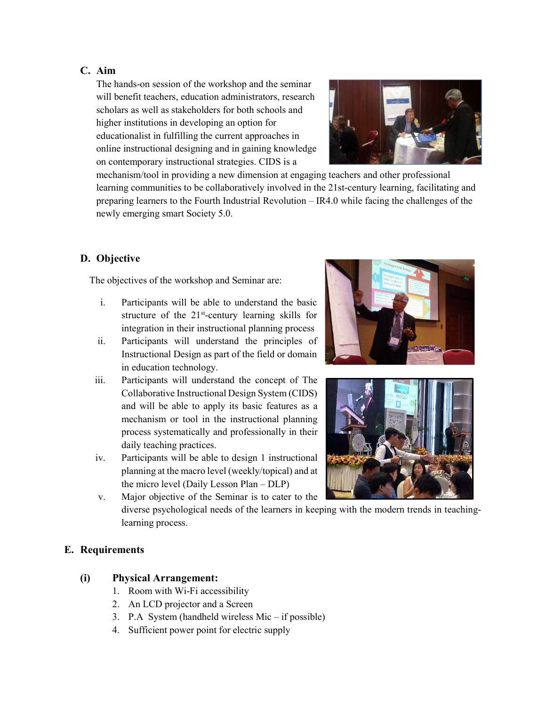#### C. Aim

The hands-on session of the workshop and the seminar will benefit teachers, education administrators, research scholars as well as stakeholders for both schools and higher institutions in developing an option for educationalist in fulfilling the current approaches in online instructional designing and in gaining knowledge on contemporary instructional strategies. CIDS is a



mechanism/tool in providing a new dimension at engaging teachers and other professional learning communities to be collaboratively involved in the 21st-century learning, facilitating and preparing learners to the Fourth Industrial Revolution – IR4.0 while facing the challenges of the newly emerging smart Society 5.0.

#### D. Objective

The objectives of the workshop and Seminar are:

- i. Participants will be able to understand the basic structure of the  $21<sup>st</sup>$ -century learning skills for integration in their instructional planning process
- ii. Participants will understand the principles of Instructional Design as part of the field or domain in education technology.
- iii. Participants will understand the concept of The Collaborative Instructional Design System (CIDS) and will be able to apply its basic features as a mechanism or tool in the instructional planning process systematically and professionally in their daily teaching practices.
- iv. Participants will be able to design 1 instructional planning at the macro level (weekly/topical) and at the micro level (Daily Lesson Plan – DLP)

v. Major objective of the Seminar is to cater to the





diverse psychological needs of the learners in keeping with the modern trends in teachinglearning process.

#### E. Requirements

#### (i) Physical Arrangement:

- 1. Room with Wi-Fi accessibility
- 2. An LCD projector and a Screen
- 3. P.A System (handheld wireless Mic if possible)
- 4. Sufficient power point for electric supply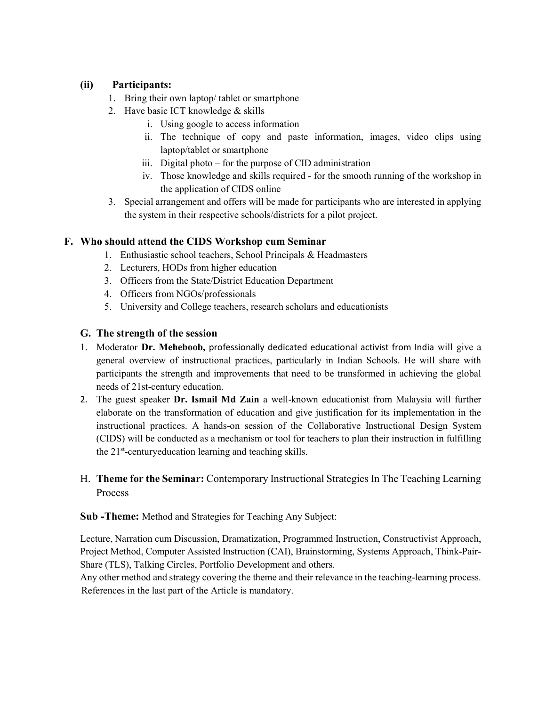#### (ii) Participants:

- 1. Bring their own laptop/ tablet or smartphone
- 2. Have basic ICT knowledge & skills
	- i. Using google to access information
	- ii. The technique of copy and paste information, images, video clips using laptop/tablet or smartphone
	- iii. Digital photo for the purpose of CID administration
	- iv. Those knowledge and skills required for the smooth running of the workshop in the application of CIDS online
- 3. Special arrangement and offers will be made for participants who are interested in applying the system in their respective schools/districts for a pilot project.

#### F. Who should attend the CIDS Workshop cum Seminar

- 1. Enthusiastic school teachers, School Principals & Headmasters
- 2. Lecturers, HODs from higher education
- 3. Officers from the State/District Education Department
- 4. Officers from NGOs/professionals
- 5. University and College teachers, research scholars and educationists

#### G. The strength of the session

- 1. Moderator Dr. Meheboob, professionally dedicated educational activist from India will give a general overview of instructional practices, particularly in Indian Schools. He will share with participants the strength and improvements that need to be transformed in achieving the global needs of 21st-century education.
- 2. The guest speaker Dr. Ismail Md Zain a well-known educationist from Malaysia will further elaborate on the transformation of education and give justification for its implementation in the instructional practices. A hands-on session of the Collaborative Instructional Design System (CIDS) will be conducted as a mechanism or tool for teachers to plan their instruction in fulfilling the  $21<sup>st</sup>$ -centuryeducation learning and teaching skills.
- H. Theme for the Seminar: Contemporary Instructional Strategies In The Teaching Learning Process

Sub -Theme: Method and Strategies for Teaching Any Subject:

Lecture, Narration cum Discussion, Dramatization, Programmed Instruction, Constructivist Approach, Project Method, Computer Assisted Instruction (CAI), Brainstorming, Systems Approach, Think-Pair-Share (TLS), Talking Circles, Portfolio Development and others.

Any other method and strategy covering the theme and their relevance in the teaching-learning process. References in the last part of the Article is mandatory.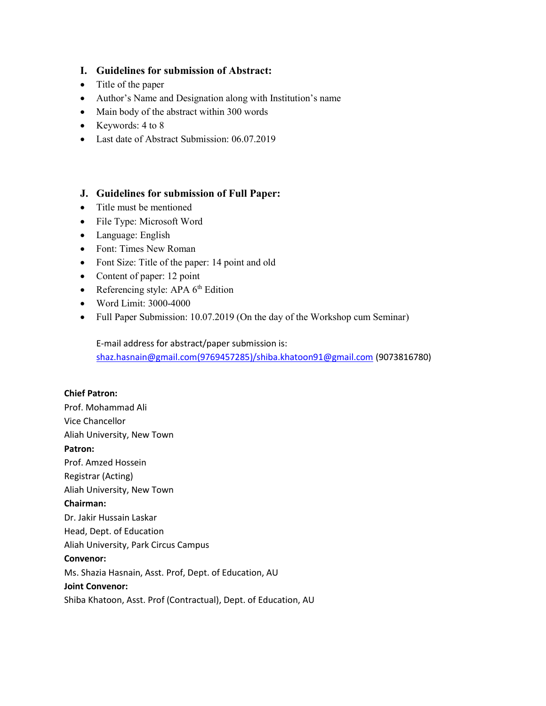#### I. Guidelines for submission of Abstract:

- Title of the paper
- Author's Name and Designation along with Institution's name
- Main body of the abstract within 300 words
- Keywords:  $4 \text{ to } 8$
- Last date of Abstract Submission: 06.07.2019

#### J. Guidelines for submission of Full Paper:

- Title must be mentioned
- File Type: Microsoft Word
- Language: English
- Font: Times New Roman
- Font Size: Title of the paper: 14 point and old
- Content of paper: 12 point
- Referencing style: APA  $6<sup>th</sup>$  Edition
- Word Limit: 3000-4000
- Full Paper Submission: 10.07.2019 (On the day of the Workshop cum Seminar)

E-mail address for abstract/paper submission is: shaz.hasnain@gmail.com(9769457285)/shiba.khatoon91@gmail.com (9073816780)

#### Chief Patron:

Prof. Mohammad Ali Vice Chancellor Aliah University, New Town Patron: Prof. Amzed Hossein Registrar (Acting) Aliah University, New Town Chairman: Dr. Jakir Hussain Laskar Head, Dept. of Education Aliah University, Park Circus Campus Convenor: Ms. Shazia Hasnain, Asst. Prof, Dept. of Education, AU Joint Convenor: Shiba Khatoon, Asst. Prof (Contractual), Dept. of Education, AU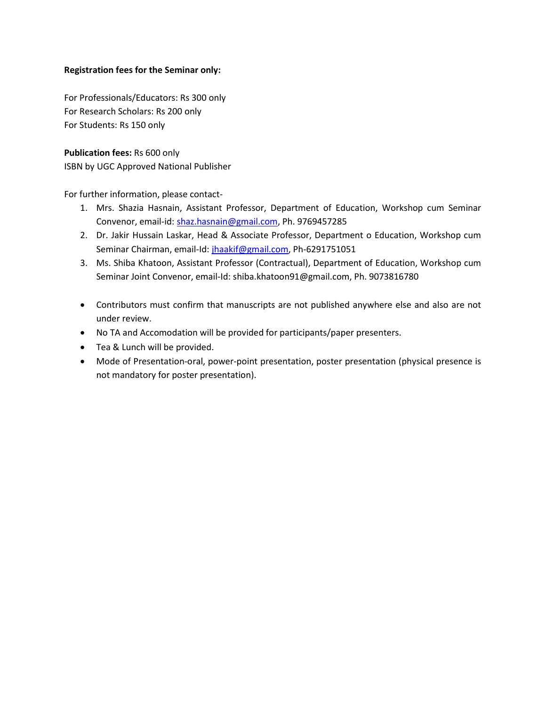#### Registration fees for the Seminar only:

For Professionals/Educators: Rs 300 only For Research Scholars: Rs 200 only For Students: Rs 150 only

Publication fees: Rs 600 only ISBN by UGC Approved National Publisher

For further information, please contact-

- 1. Mrs. Shazia Hasnain, Assistant Professor, Department of Education, Workshop cum Seminar Convenor, email-id: shaz.hasnain@gmail.com, Ph. 9769457285
- 2. Dr. Jakir Hussain Laskar, Head & Associate Professor, Department o Education, Workshop cum Seminar Chairman, email-Id: jhaakif@gmail.com, Ph-6291751051
- 3. Ms. Shiba Khatoon, Assistant Professor (Contractual), Department of Education, Workshop cum Seminar Joint Convenor, email-Id: shiba.khatoon91@gmail.com, Ph. 9073816780
- Contributors must confirm that manuscripts are not published anywhere else and also are not under review.
- No TA and Accomodation will be provided for participants/paper presenters.
- Tea & Lunch will be provided.
- Mode of Presentation-oral, power-point presentation, poster presentation (physical presence is not mandatory for poster presentation).